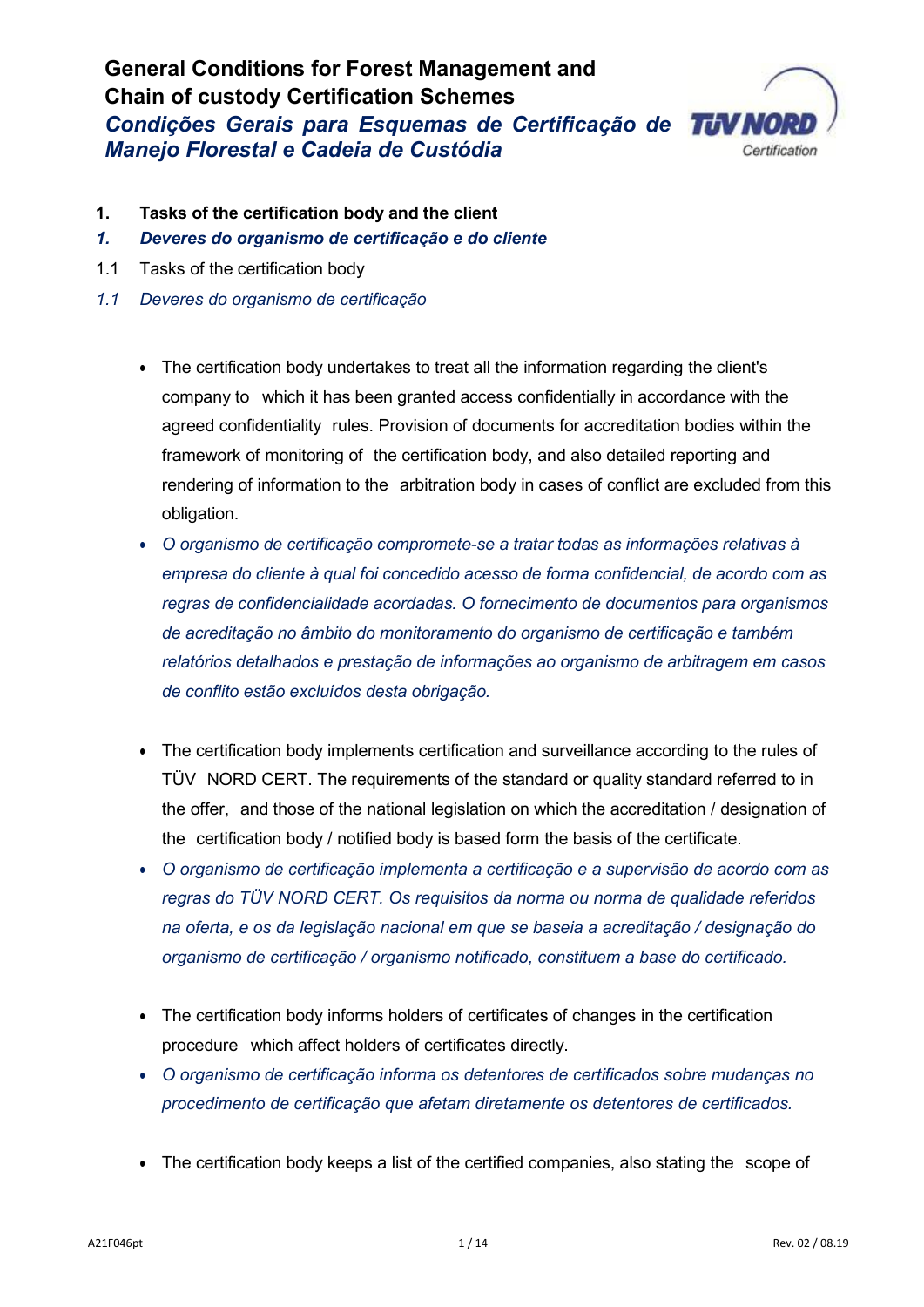# **General Conditions for Forest Management and Chain of custody Certification Schemes** *Condições Gerais para Esquemas de Certificação de Manejo Florestal e Cadeia de Custódia*



- **1. Tasks of the certification body and the client**
- *1. Deveres do organismo de certificação e do cliente*
- 1.1 Tasks of the certification body
- *1.1 Deveres do organismo de certificação*
	- The certification body undertakes to treat all the information regarding the client's company to which it has been granted access confidentially in accordance with the agreed confidentiality rules. Provision of documents for accreditation bodies within the framework of monitoring of the certification body, and also detailed reporting and rendering of information to the arbitration body in cases of conflict are excluded from this obligation.
	- *O organismo de certificação compromete-se a tratar todas as informações relativas à empresa do cliente à qual foi concedido acesso de forma confidencial, de acordo com as regras de confidencialidade acordadas. O fornecimento de documentos para organismos de acreditação no âmbito do monitoramento do organismo de certificação e também relatórios detalhados e prestação de informações ao organismo de arbitragem em casos de conflito estão excluídos desta obrigação.*
	- The certification body implements certification and surveillance according to the rules of TÜV NORD CERT. The requirements of the standard or quality standard referred to in the offer, and those of the national legislation on which the accreditation / designation of the certification body / notified body is based form the basis of the certificate.
	- *O organismo de certificação implementa a certificação e a supervisão de acordo com as regras do TÜV NORD CERT. Os requisitos da norma ou norma de qualidade referidos na oferta, e os da legislação nacional em que se baseia a acreditação / designação do organismo de certificação / organismo notificado, constituem a base do certificado.*
	- The certification body informs holders of certificates of changes in the certification procedure which affect holders of certificates directly.
	- *O organismo de certificação informa os detentores de certificados sobre mudanças no procedimento de certificação que afetam diretamente os detentores de certificados.*
	- The certification body keeps a list of the certified companies, also stating the scope of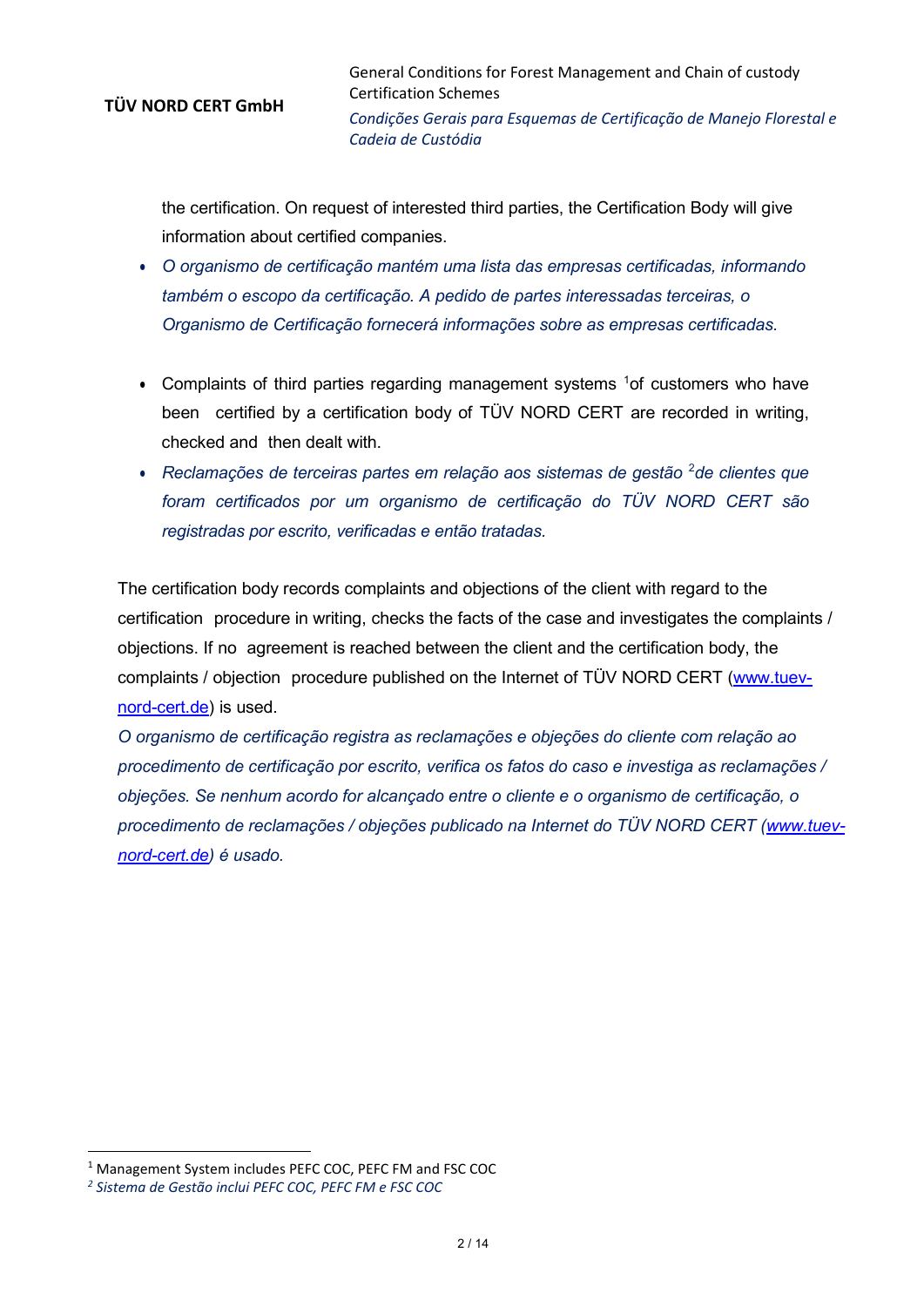the certification. On request of interested third parties, the Certification Body will give information about certified companies.

- *O organismo de certificação mantém uma lista das empresas certificadas, informando também o escopo da certificação. A pedido de partes interessadas terceiras, o Organismo de Certificação fornecerá informações sobre as empresas certificadas.*
- Complaints of third parties regarding management systems  $1$ of customers who have been certified by a certification body of TÜV NORD CERT are recorded in writing, checked and then dealt with.
- *Reclamações de terceiras partes em relação aos sistemas de gestão* [2](#page-1-1) *de clientes que foram certificados por um organismo de certificação do TÜV NORD CERT são registradas por escrito, verificadas e então tratadas.*

The certification body records complaints and objections of the client with regard to the certification procedure in writing, checks the facts of the case and investigates the complaints / objections. If no agreement is reached between the client and the certification body, the complaints / objection procedure published on the Internet of TÜV NORD CERT [\(www.tuev](http://www.tuev-nord-cert.de/)[nord-cert.de\)](http://www.tuev-nord-cert.de/) is used.

*O organismo de certificação registra as reclamações e objeções do cliente com relação ao procedimento de certificação por escrito, verifica os fatos do caso e investiga as reclamações / objeções. Se nenhum acordo for alcançado entre o cliente e o organismo de certificação, o procedimento de reclamações / objecões publicado na Internet do TÜV NORD CERT [\(www.tuev](http://www.tuev-nord-cert.de/)[nord-cert.de\)](http://www.tuev-nord-cert.de/) é usado.*

-

<span id="page-1-0"></span><sup>1</sup> Management System includes PEFC COC, PEFC FM and FSC COC

<span id="page-1-1"></span>*<sup>2</sup> Sistema de Gestão inclui PEFC COC, PEFC FM e FSC COC*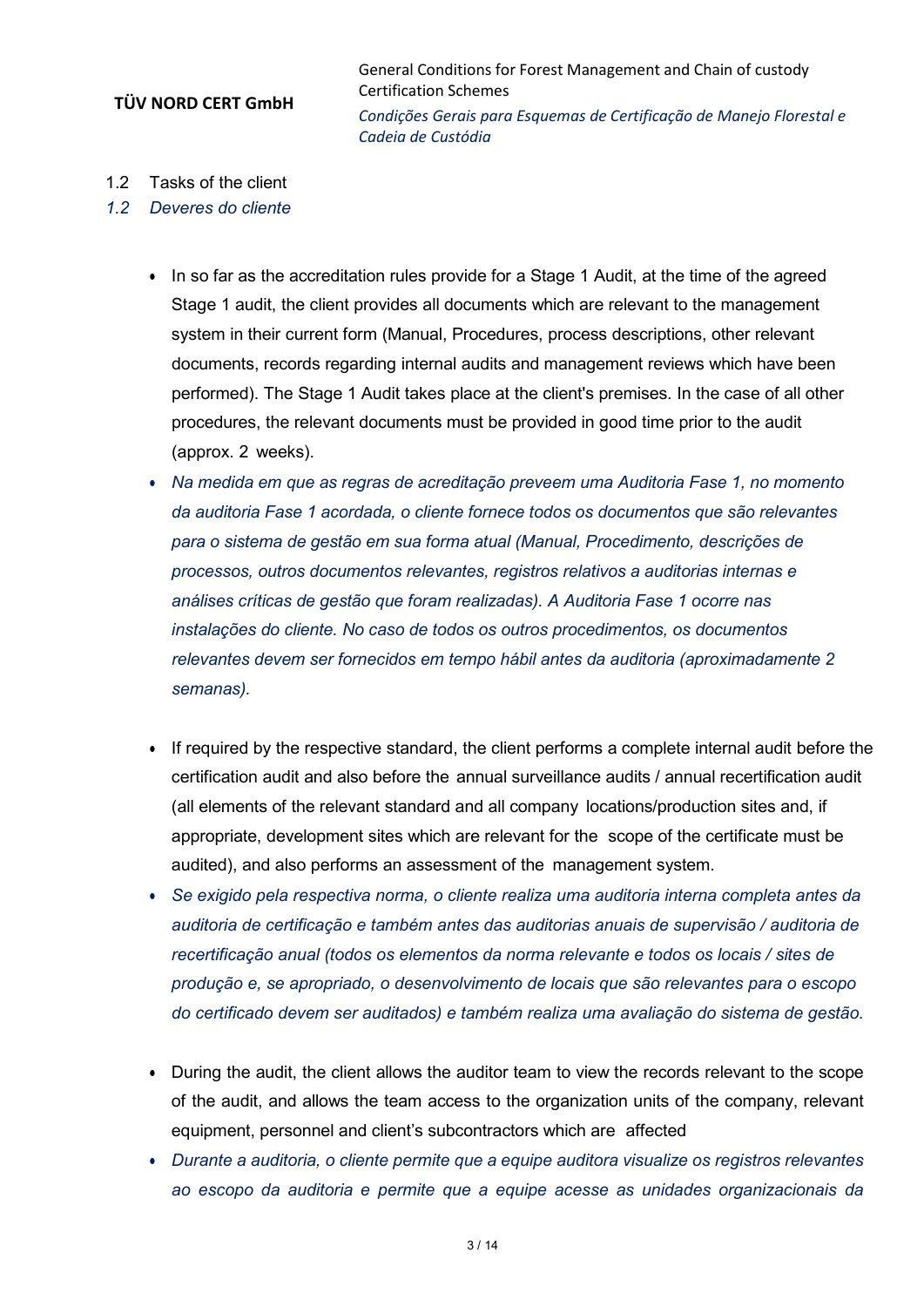General Conditions for Forest Management and Chain of custody Certification Schemes *Condições Gerais para Esquemas de Certificação de Manejo Florestal e Cadeia de Custódia*

- 1.2 Tasks of the client
- *1.2 Deveres do cliente*
	- In so far as the accreditation rules provide for a Stage 1 Audit, at the time of the agreed Stage 1 audit, the client provides all documents which are relevant to the management system in their current form (Manual, Procedures, process descriptions, other relevant documents, records regarding internal audits and management reviews which have been performed). The Stage 1 Audit takes place at the client's premises. In the case of all other procedures, the relevant documents must be provided in good time prior to the audit (approx. 2 weeks).
	- *Na medida em que as regras de acreditação preveem uma Auditoria Fase 1, no momento da auditoria Fase 1 acordada, o cliente fornece todos os documentos que são relevantes para o sistema de gestão em sua forma atual (Manual, Procedimento, descrições de processos, outros documentos relevantes, registros relativos a auditorias internas e análises críticas de gestão que foram realizadas). A Auditoria Fase 1 ocorre nas instalações do cliente. No caso de todos os outros procedimentos, os documentos relevantes devem ser fornecidos em tempo hábil antes da auditoria (aproximadamente 2 semanas).*
	- If required by the respective standard, the client performs a complete internal audit before the certification audit and also before the annual surveillance audits / annual recertification audit (all elements of the relevant standard and all company locations/production sites and, if appropriate, development sites which are relevant for the scope of the certificate must be audited), and also performs an assessment of the management system.
	- *Se exigido pela respectiva norma, o cliente realiza uma auditoria interna completa antes da auditoria de certificação e também antes das auditorias anuais de supervisão / auditoria de recertificação anual (todos os elementos da norma relevante e todos os locais / sites de produção e, se apropriado, o desenvolvimento de locais que são relevantes para o escopo do certificado devem ser auditados) e também realiza uma avaliação do sistema de gestão.*
	- During the audit, the client allows the auditor team to view the records relevant to the scope of the audit, and allows the team access to the organization units of the company, relevant equipment, personnel and client's subcontractors which are affected
	- *Durante a auditoria, o cliente permite que a equipe auditora visualize os registros relevantes ao escopo da auditoria e permite que a equipe acesse as unidades organizacionais da*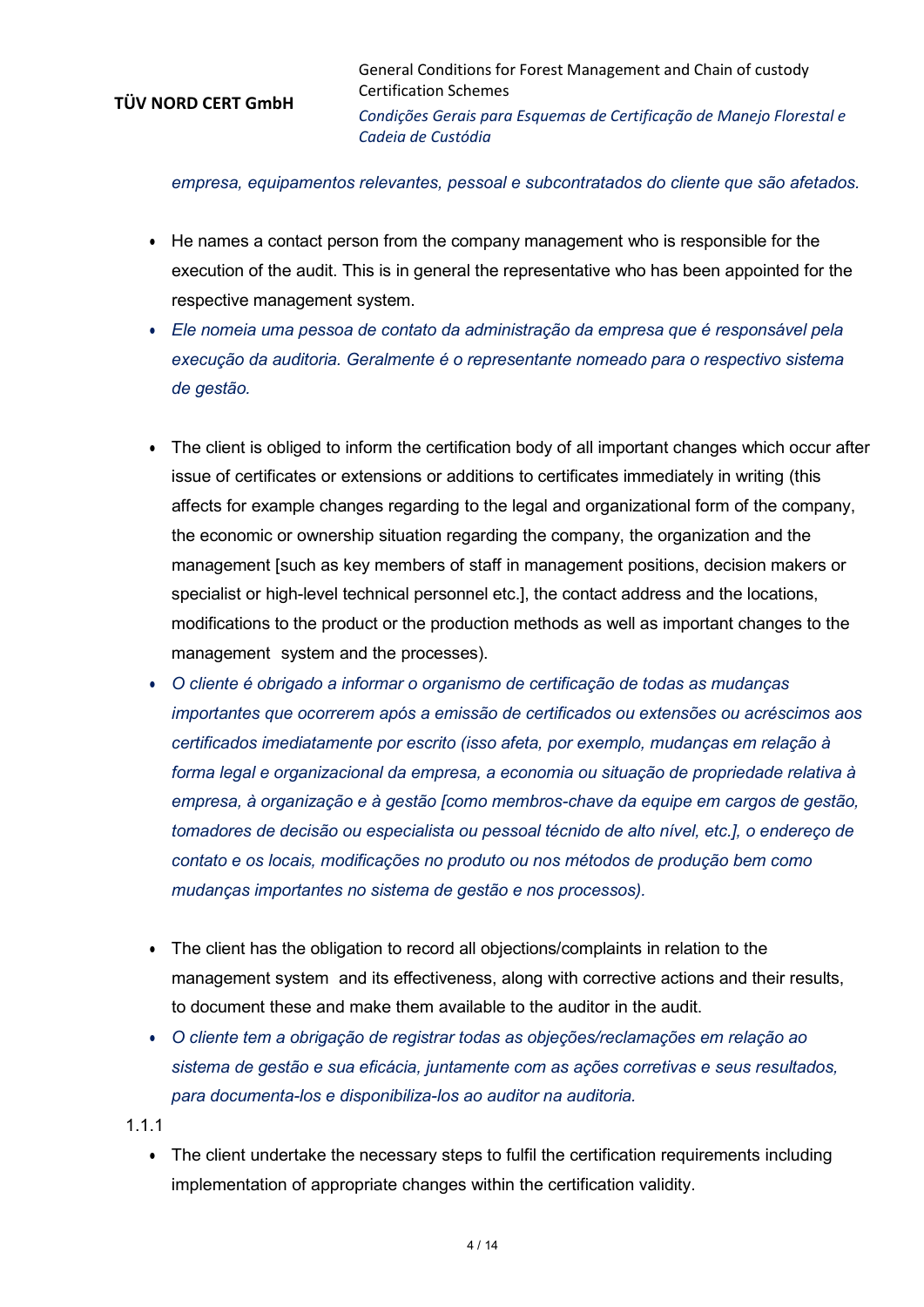General Conditions for Forest Management and Chain of custody Certification Schemes *Condições Gerais para Esquemas de Certificação de Manejo Florestal e Cadeia de Custódia*

#### *empresa, equipamentos relevantes, pessoal e subcontratados do cliente que são afetados.*

- He names a contact person from the company management who is responsible for the execution of the audit. This is in general the representative who has been appointed for the respective management system.
- *Ele nomeia uma pessoa de contato da administração da empresa que é responsável pela execução da auditoria. Geralmente é o representante nomeado para o respectivo sistema de gestão.*
- The client is obliged to inform the certification body of all important changes which occur after issue of certificates or extensions or additions to certificates immediately in writing (this affects for example changes regarding to the legal and organizational form of the company, the economic or ownership situation regarding the company, the organization and the management [such as key members of staff in management positions, decision makers or specialist or high-level technical personnel etc.], the contact address and the locations, modifications to the product or the production methods as well as important changes to the management system and the processes).
- *O cliente é obrigado a informar o organismo de certificação de todas as mudanças importantes que ocorrerem após a emissão de certificados ou extensões ou acréscimos aos certificados imediatamente por escrito (isso afeta, por exemplo, mudanças em relação à forma legal e organizacional da empresa, a economia ou situação de propriedade relativa à empresa, à organização e à gestão [como membros-chave da equipe em cargos de gestão, tomadores de decisão ou especialista ou pessoal técnido de alto nível, etc.], o endereço de contato e os locais, modificações no produto ou nos métodos de produção bem como mudanças importantes no sistema de gestão e nos processos).*
- The client has the obligation to record all objections/complaints in relation to the management system and its effectiveness, along with corrective actions and their results, to document these and make them available to the auditor in the audit.
- *O cliente tem a obrigação de registrar todas as objeções/reclamações em relação ao sistema de gestão e sua eficácia, juntamente com as ações corretivas e seus resultados, para documenta-los e disponibiliza-los ao auditor na auditoria.*
- 1.1.1
	- The client undertake the necessary steps to fulfil the certification requirements including implementation of appropriate changes within the certification validity.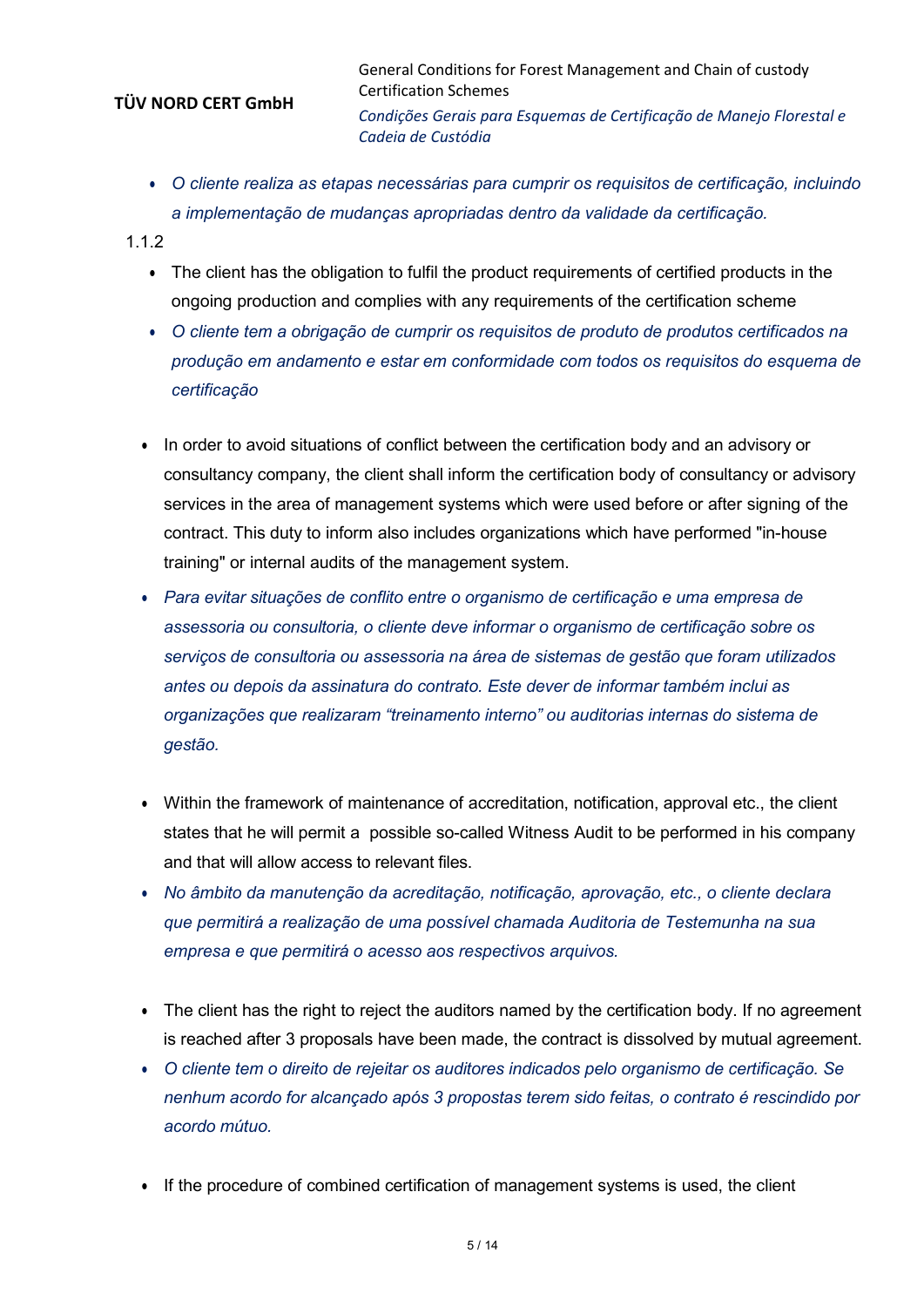General Conditions for Forest Management and Chain of custody Certification Schemes *Condições Gerais para Esquemas de Certificação de Manejo Florestal e Cadeia de Custódia*

- *O cliente realiza as etapas necessárias para cumprir os requisitos de certificação, incluindo a implementação de mudanças apropriadas dentro da validade da certificação.*
- 1.1.2
	- The client has the obligation to fulfil the product requirements of certified products in the ongoing production and complies with any requirements of the certification scheme
	- *O cliente tem a obrigação de cumprir os requisitos de produto de produtos certificados na produção em andamento e estar em conformidade com todos os requisitos do esquema de certificação*
	- In order to avoid situations of conflict between the certification body and an advisory or consultancy company, the client shall inform the certification body of consultancy or advisory services in the area of management systems which were used before or after signing of the contract. This duty to inform also includes organizations which have performed "in-house training" or internal audits of the management system.
	- *Para evitar situações de conflito entre o organismo de certificação e uma empresa de assessoria ou consultoria, o cliente deve informar o organismo de certificação sobre os serviços de consultoria ou assessoria na área de sistemas de gestão que foram utilizados antes ou depois da assinatura do contrato. Este dever de informar também inclui as organizações que realizaram "treinamento interno" ou auditorias internas do sistema de gestão.*
	- Within the framework of maintenance of accreditation, notification, approval etc., the client states that he will permit a possible so-called Witness Audit to be performed in his company and that will allow access to relevant files.
	- *No âmbito da manutenção da acreditação, notificação, aprovação, etc., o cliente declara que permitirá a realização de uma possível chamada Auditoria de Testemunha na sua empresa e que permitirá o acesso aos respectivos arquivos.*
	- The client has the right to reject the auditors named by the certification body. If no agreement is reached after 3 proposals have been made, the contract is dissolved by mutual agreement.
	- *O cliente tem o direito de rejeitar os auditores indicados pelo organismo de certificação. Se nenhum acordo for alcançado após 3 propostas terem sido feitas, o contrato é rescindido por acordo mútuo.*
	- If the procedure of combined certification of management systems is used, the client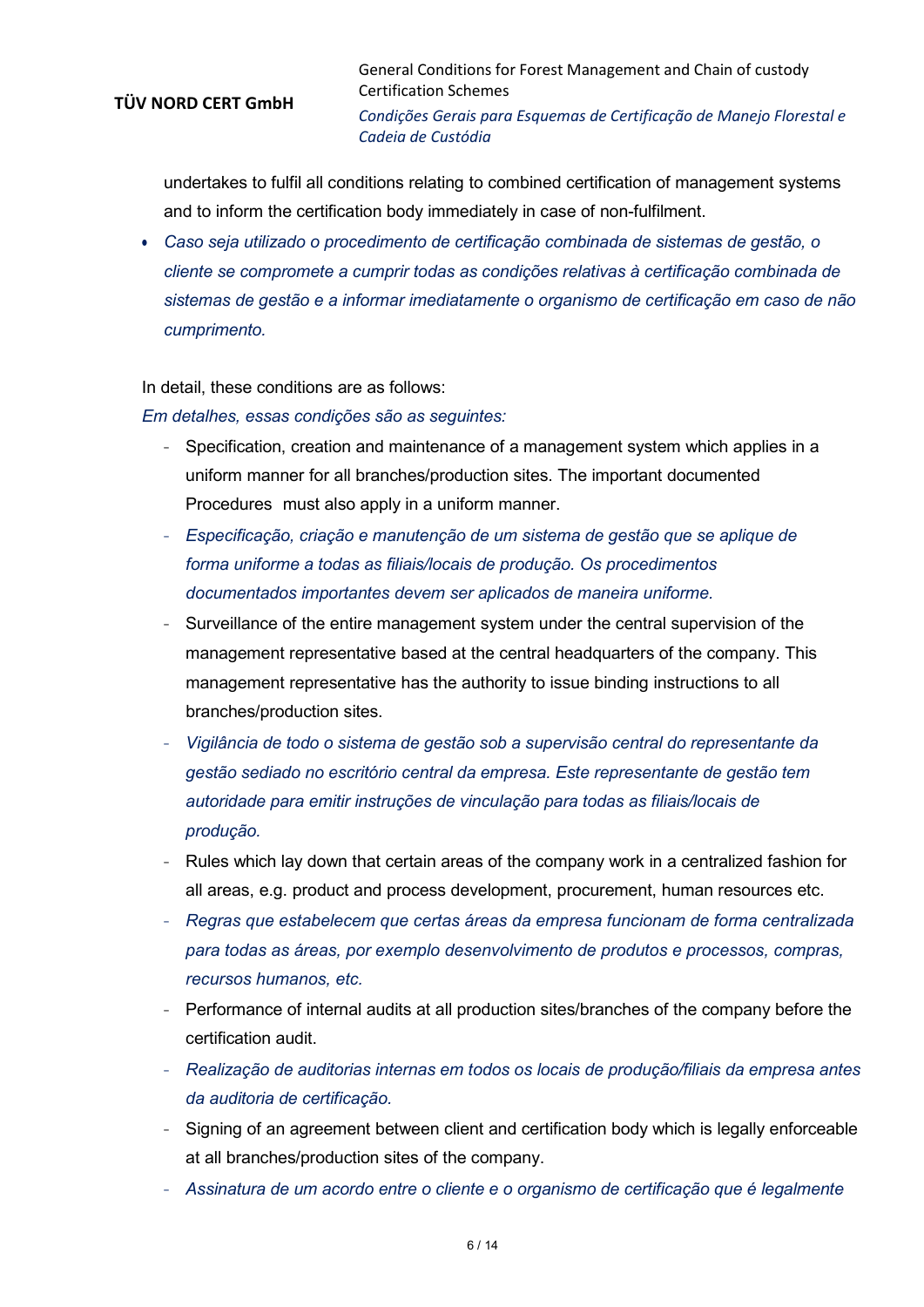General Conditions for Forest Management and Chain of custody Certification Schemes *Condições Gerais para Esquemas de Certificação de Manejo Florestal e Cadeia de Custódia*

undertakes to fulfil all conditions relating to combined certification of management systems and to inform the certification body immediately in case of non-fulfilment.

• *Caso seja utilizado o procedimento de certificação combinada de sistemas de gestão, o cliente se compromete a cumprir todas as condições relativas à certificação combinada de sistemas de gestão e a informar imediatamente o organismo de certificação em caso de não cumprimento.*

In detail, these conditions are as follows:

*Em detalhes, essas condições são as seguintes:*

- <sup>−</sup> Specification, creation and maintenance of a management system which applies in a uniform manner for all branches/production sites. The important documented Procedures must also apply in a uniform manner.
- <sup>−</sup> *Especificação, criação e manutenção de um sistema de gestão que se aplique de forma uniforme a todas as filiais/locais de produção. Os procedimentos documentados importantes devem ser aplicados de maneira uniforme.*
- Surveillance of the entire management system under the central supervision of the management representative based at the central headquarters of the company. This management representative has the authority to issue binding instructions to all branches/production sites.
- <sup>−</sup> *Vigilância de todo o sistema de gestão sob a supervisão central do representante da gestão sediado no escritório central da empresa. Este representante de gestão tem autoridade para emitir instruções de vinculação para todas as filiais/locais de produção.*
- <sup>−</sup> Rules which lay down that certain areas of the company work in a centralized fashion for all areas, e.g. product and process development, procurement, human resources etc.
- <sup>−</sup> *Regras que estabelecem que certas áreas da empresa funcionam de forma centralizada para todas as áreas, por exemplo desenvolvimento de produtos e processos, compras, recursos humanos, etc.*
- <sup>−</sup> Performance of internal audits at all production sites/branches of the company before the certification audit.
- <sup>−</sup> *Realização de auditorias internas em todos os locais de produção/filiais da empresa antes da auditoria de certificação.*
- <sup>−</sup> Signing of an agreement between client and certification body which is legally enforceable at all branches/production sites of the company.
- <sup>−</sup> *Assinatura de um acordo entre o cliente e o organismo de certificação que é legalmente*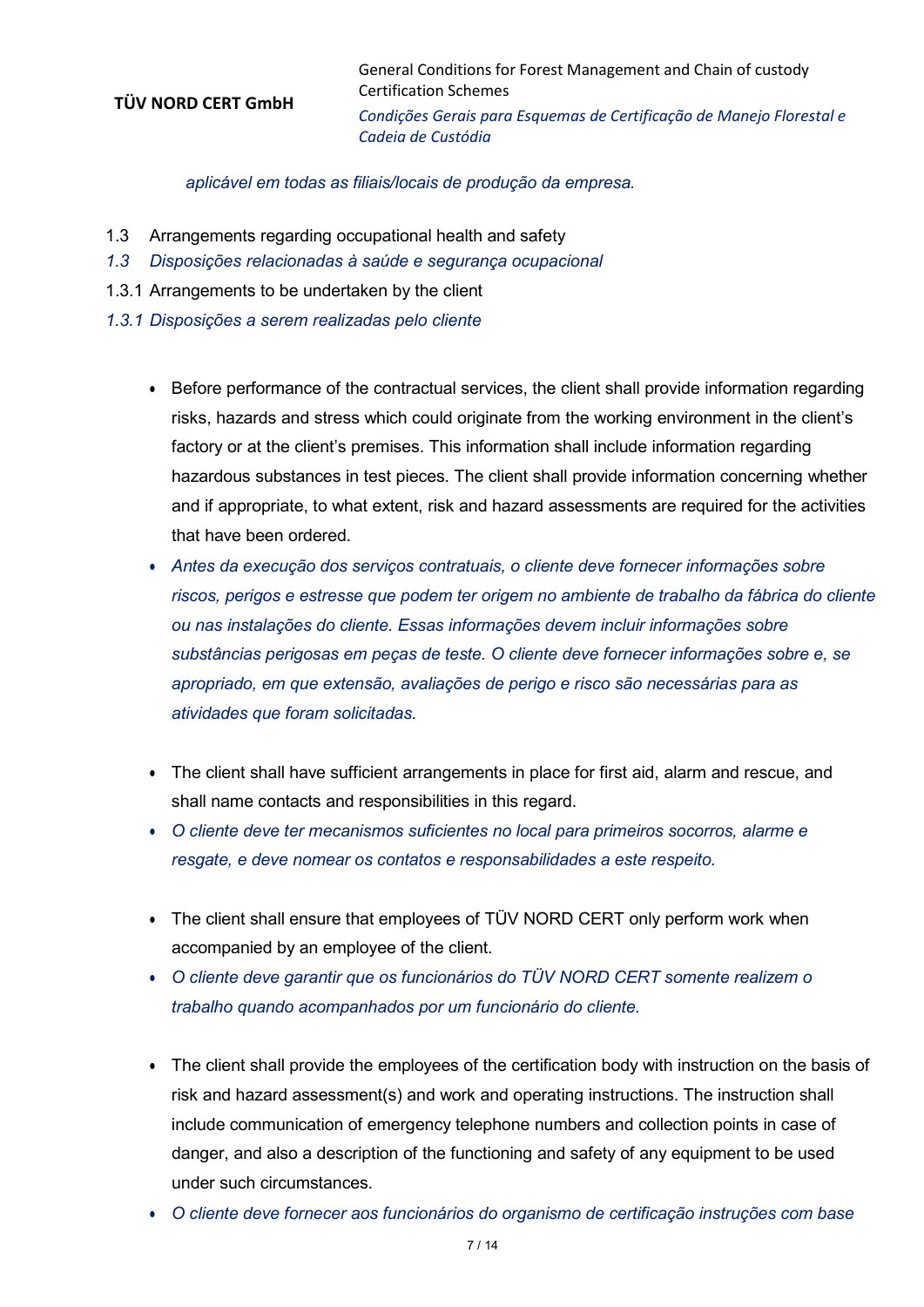General Conditions for Forest Management and Chain of custody Certification Schemes *Condições Gerais para Esquemas de Certificação de Manejo Florestal e Cadeia de Custódia*

# *aplicável em todas as filiais/locais de produção da empresa.*

- 1.3 Arrangements regarding occupational health and safety
- *1.3 Disposições relacionadas à saúde e segurança ocupacional*
- 1.3.1 Arrangements to be undertaken by the client
- *1.3.1 Disposições a serem realizadas pelo cliente*
	- Before performance of the contractual services, the client shall provide information regarding risks, hazards and stress which could originate from the working environment in the client's factory or at the client's premises. This information shall include information regarding hazardous substances in test pieces. The client shall provide information concerning whether and if appropriate, to what extent, risk and hazard assessments are required for the activities that have been ordered.
	- *Antes da execução dos serviços contratuais, o cliente deve fornecer informações sobre riscos, perigos e estresse que podem ter origem no ambiente de trabalho da fábrica do cliente ou nas instalações do cliente. Essas informações devem incluir informações sobre substâncias perigosas em peças de teste. O cliente deve fornecer informações sobre e, se apropriado, em que extensão, avaliações de perigo e risco são necessárias para as atividades que foram solicitadas.*
	- The client shall have sufficient arrangements in place for first aid, alarm and rescue, and shall name contacts and responsibilities in this regard.
	- *O cliente deve ter mecanismos suficientes no local para primeiros socorros, alarme e resgate, e deve nomear os contatos e responsabilidades a este respeito.*
	- The client shall ensure that employees of TÜV NORD CERT only perform work when accompanied by an employee of the client.
	- *O cliente deve garantir que os funcionários do TÜV NORD CERT somente realizem o trabalho quando acompanhados por um funcionário do cliente.*
	- The client shall provide the employees of the certification body with instruction on the basis of risk and hazard assessment(s) and work and operating instructions. The instruction shall include communication of emergency telephone numbers and collection points in case of danger, and also a description of the functioning and safety of any equipment to be used under such circumstances.
	- *O cliente deve fornecer aos funcionários do organismo de certificação instruções com base*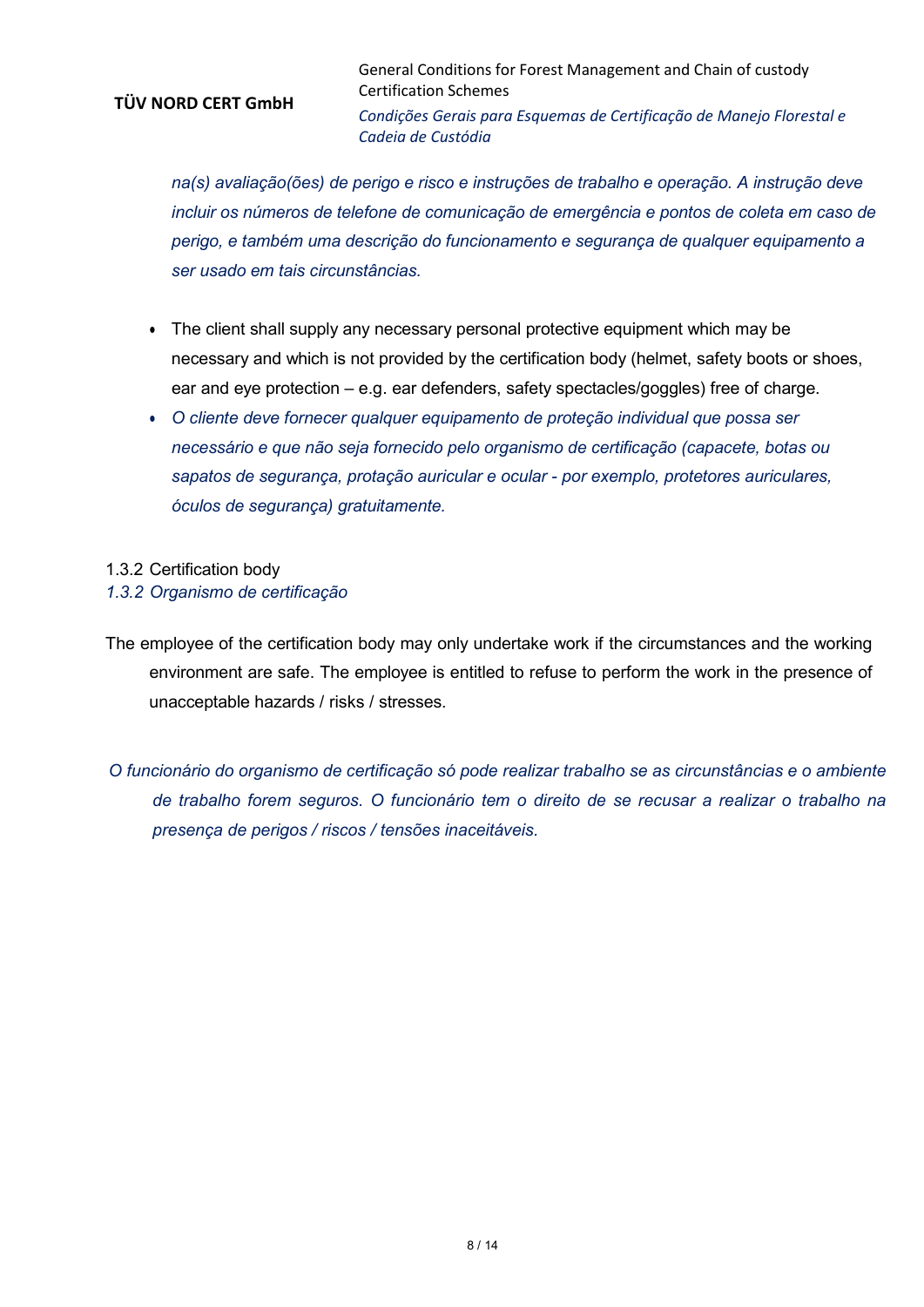General Conditions for Forest Management and Chain of custody Certification Schemes *Condições Gerais para Esquemas de Certificação de Manejo Florestal e Cadeia de Custódia*

*na(s) avaliação(ões) de perigo e risco e instruções de trabalho e operação. A instrução deve incluir os números de telefone de comunicação de emergência e pontos de coleta em caso de perigo, e também uma descrição do funcionamento e segurança de qualquer equipamento a ser usado em tais circunstâncias.*

- The client shall supply any necessary personal protective equipment which may be necessary and which is not provided by the certification body (helmet, safety boots or shoes, ear and eye protection – e.g. ear defenders, safety spectacles/goggles) free of charge.
- *O cliente deve fornecer qualquer equipamento de proteção individual que possa ser necessário e que não seja fornecido pelo organismo de certificação (capacete, botas ou sapatos de segurança, protação auricular e ocular - por exemplo, protetores auriculares, óculos de segurança) gratuitamente.*

#### 1.3.2 Certification body

- *1.3.2 Organismo de certificação*
- The employee of the certification body may only undertake work if the circumstances and the working environment are safe. The employee is entitled to refuse to perform the work in the presence of unacceptable hazards / risks / stresses.
- *O funcionário do organismo de certificação só pode realizar trabalho se as circunstâncias e o ambiente de trabalho forem seguros. O funcionário tem o direito de se recusar a realizar o trabalho na presença de perigos / riscos / tensões inaceitáveis.*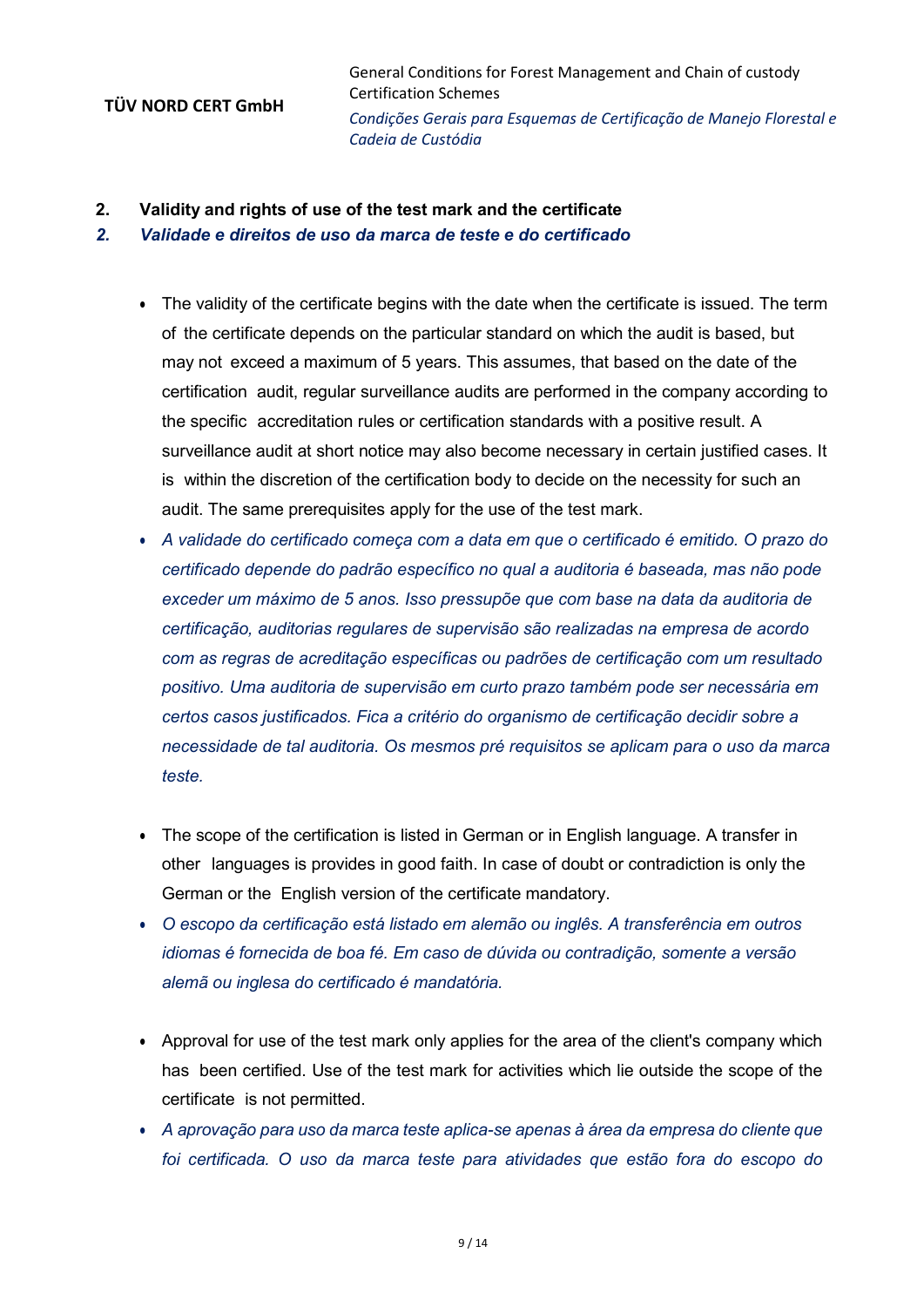**2. Validity and rights of use of the test mark and the certificate**

#### *2. Validade e direitos de uso da marca de teste e do certificado*

- The validity of the certificate begins with the date when the certificate is issued. The term of the certificate depends on the particular standard on which the audit is based, but may not exceed a maximum of 5 years. This assumes, that based on the date of the certification audit, regular surveillance audits are performed in the company according to the specific accreditation rules or certification standards with a positive result. A surveillance audit at short notice may also become necessary in certain justified cases. It is within the discretion of the certification body to decide on the necessity for such an audit. The same prerequisites apply for the use of the test mark.
- *A validade do certificado começa com a data em que o certificado é emitido. O prazo do certificado depende do padrão específico no qual a auditoria é baseada, mas não pode exceder um máximo de 5 anos. Isso pressupõe que com base na data da auditoria de certificação, auditorias regulares de supervisão são realizadas na empresa de acordo com as regras de acreditação específicas ou padrões de certificação com um resultado positivo. Uma auditoria de supervisão em curto prazo também pode ser necessária em certos casos justificados. Fica a critério do organismo de certificação decidir sobre a necessidade de tal auditoria. Os mesmos pré requisitos se aplicam para o uso da marca teste.*
- The scope of the certification is listed in German or in English language. A transfer in other languages is provides in good faith. In case of doubt or contradiction is only the German or the English version of the certificate mandatory.
- *O escopo da certificação está listado em alemão ou inglês. A transferência em outros idiomas é fornecida de boa fé. Em caso de dúvida ou contradição, somente a versão alemã ou inglesa do certificado é mandatória.*
- Approval for use of the test mark only applies for the area of the client's company which has been certified. Use of the test mark for activities which lie outside the scope of the certificate is not permitted.
- *A aprovação para uso da marca teste aplica-se apenas à área da empresa do cliente que foi certificada. O uso da marca teste para atividades que estão fora do escopo do*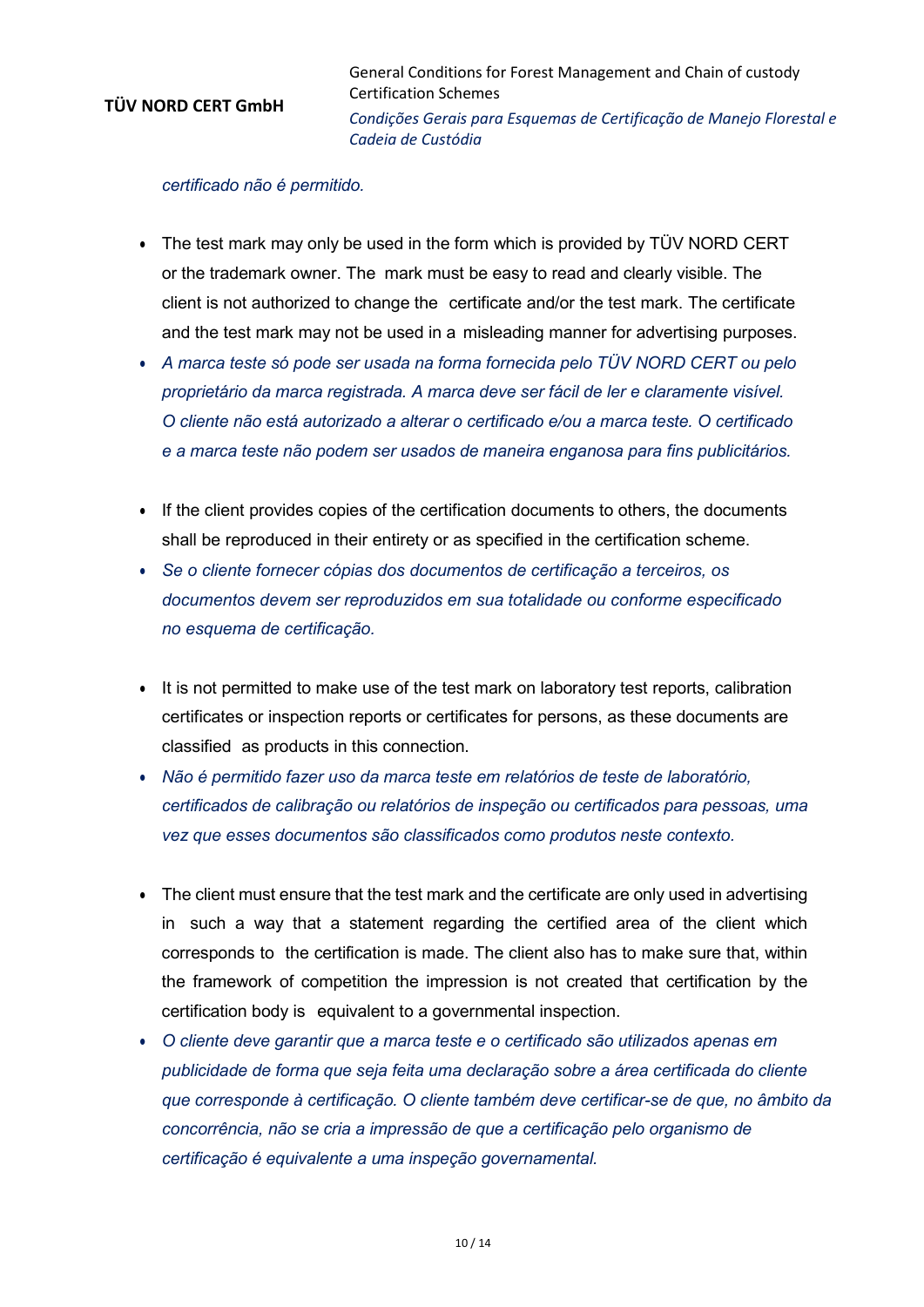*certificado não é permitido.*

- The test mark may only be used in the form which is provided by TÜV NORD CERT or the trademark owner. The mark must be easy to read and clearly visible. The client is not authorized to change the certificate and/or the test mark. The certificate and the test mark may not be used in a misleading manner for advertising purposes.
- *A marca teste só pode ser usada na forma fornecida pelo TÜV NORD CERT ou pelo proprietário da marca registrada. A marca deve ser fácil de ler e claramente visível. O cliente não está autorizado a alterar o certificado e/ou a marca teste. O certificado e a marca teste não podem ser usados de maneira enganosa para fins publicitários.*
- If the client provides copies of the certification documents to others, the documents shall be reproduced in their entirety or as specified in the certification scheme.
- *Se o cliente fornecer cópias dos documentos de certificação a terceiros, os documentos devem ser reproduzidos em sua totalidade ou conforme especificado no esquema de certificação.*
- It is not permitted to make use of the test mark on laboratory test reports, calibration certificates or inspection reports or certificates for persons, as these documents are classified as products in this connection.
- *Não é permitido fazer uso da marca teste em relatórios de teste de laboratório, certificados de calibração ou relatórios de inspeção ou certificados para pessoas, uma vez que esses documentos são classificados como produtos neste contexto.*
- The client must ensure that the test mark and the certificate are only used in advertising in such a way that a statement regarding the certified area of the client which corresponds to the certification is made. The client also has to make sure that, within the framework of competition the impression is not created that certification by the certification body is equivalent to a governmental inspection.
- *O cliente deve garantir que a marca teste e o certificado são utilizados apenas em publicidade de forma que seja feita uma declaração sobre a área certificada do cliente que corresponde à certificação. O cliente também deve certificar-se de que, no âmbito da concorrência, não se cria a impressão de que a certificação pelo organismo de certificação é equivalente a uma inspeção governamental.*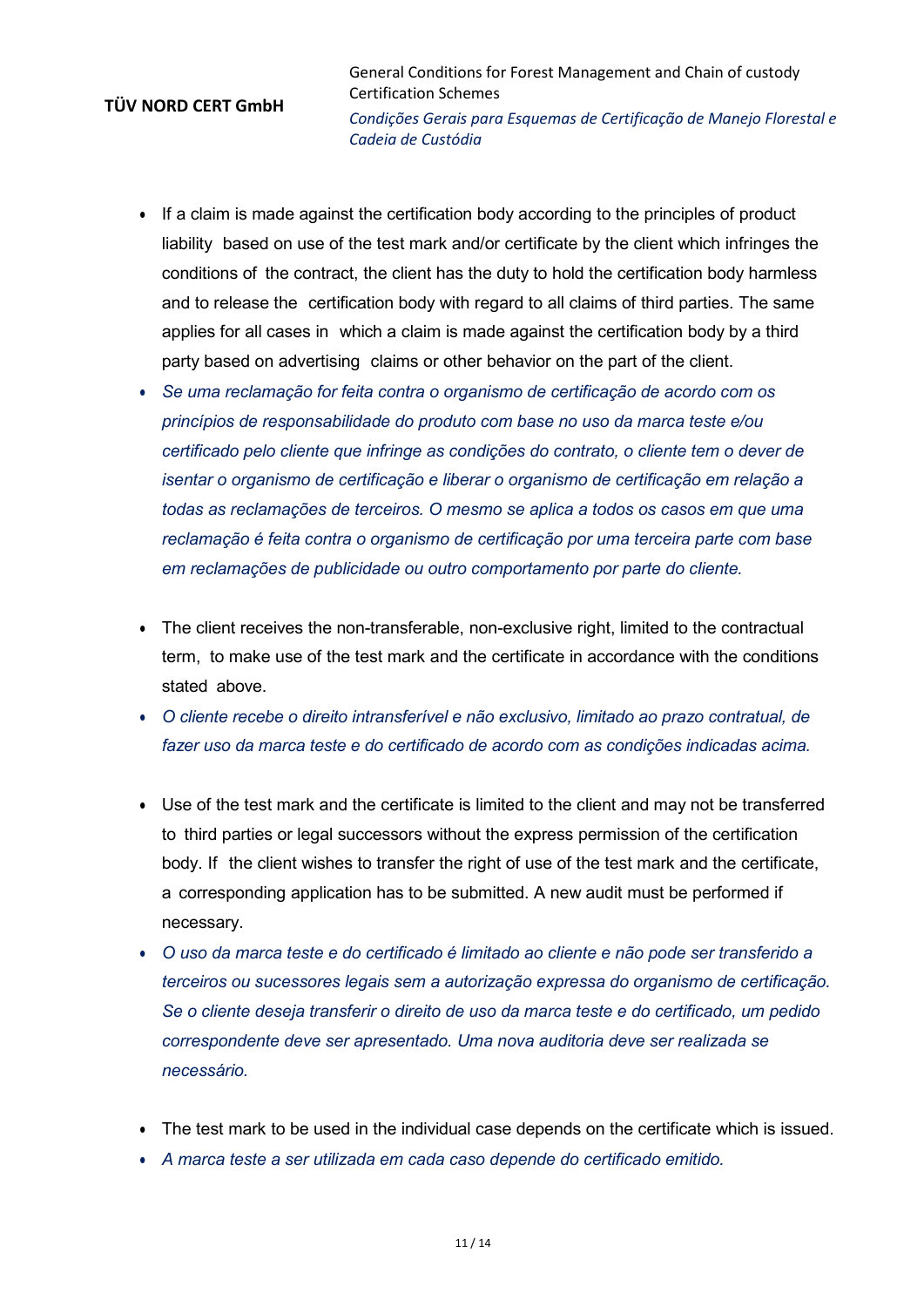General Conditions for Forest Management and Chain of custody Certification Schemes *Condições Gerais para Esquemas de Certificação de Manejo Florestal e Cadeia de Custódia*

- If a claim is made against the certification body according to the principles of product liability based on use of the test mark and/or certificate by the client which infringes the conditions of the contract, the client has the duty to hold the certification body harmless and to release the certification body with regard to all claims of third parties. The same applies for all cases in which a claim is made against the certification body by a third party based on advertising claims or other behavior on the part of the client.
- *Se uma reclamação for feita contra o organismo de certificação de acordo com os princípios de responsabilidade do produto com base no uso da marca teste e/ou certificado pelo cliente que infringe as condições do contrato, o cliente tem o dever de isentar o organismo de certificação e liberar o organismo de certificação em relação a todas as reclamações de terceiros. O mesmo se aplica a todos os casos em que uma reclamação é feita contra o organismo de certificação por uma terceira parte com base em reclamações de publicidade ou outro comportamento por parte do cliente.*
- The client receives the non-transferable, non-exclusive right, limited to the contractual term, to make use of the test mark and the certificate in accordance with the conditions stated above.
- *O cliente recebe o direito intransferível e não exclusivo, limitado ao prazo contratual, de fazer uso da marca teste e do certificado de acordo com as condições indicadas acima.*
- Use of the test mark and the certificate is limited to the client and may not be transferred to third parties or legal successors without the express permission of the certification body. If the client wishes to transfer the right of use of the test mark and the certificate, a corresponding application has to be submitted. A new audit must be performed if necessary.
- *O uso da marca teste e do certificado é limitado ao cliente e não pode ser transferido a terceiros ou sucessores legais sem a autorização expressa do organismo de certificação. Se o cliente deseja transferir o direito de uso da marca teste e do certificado, um pedido correspondente deve ser apresentado. Uma nova auditoria deve ser realizada se necessário.*
- The test mark to be used in the individual case depends on the certificate which is issued.
- *A marca teste a ser utilizada em cada caso depende do certificado emitido.*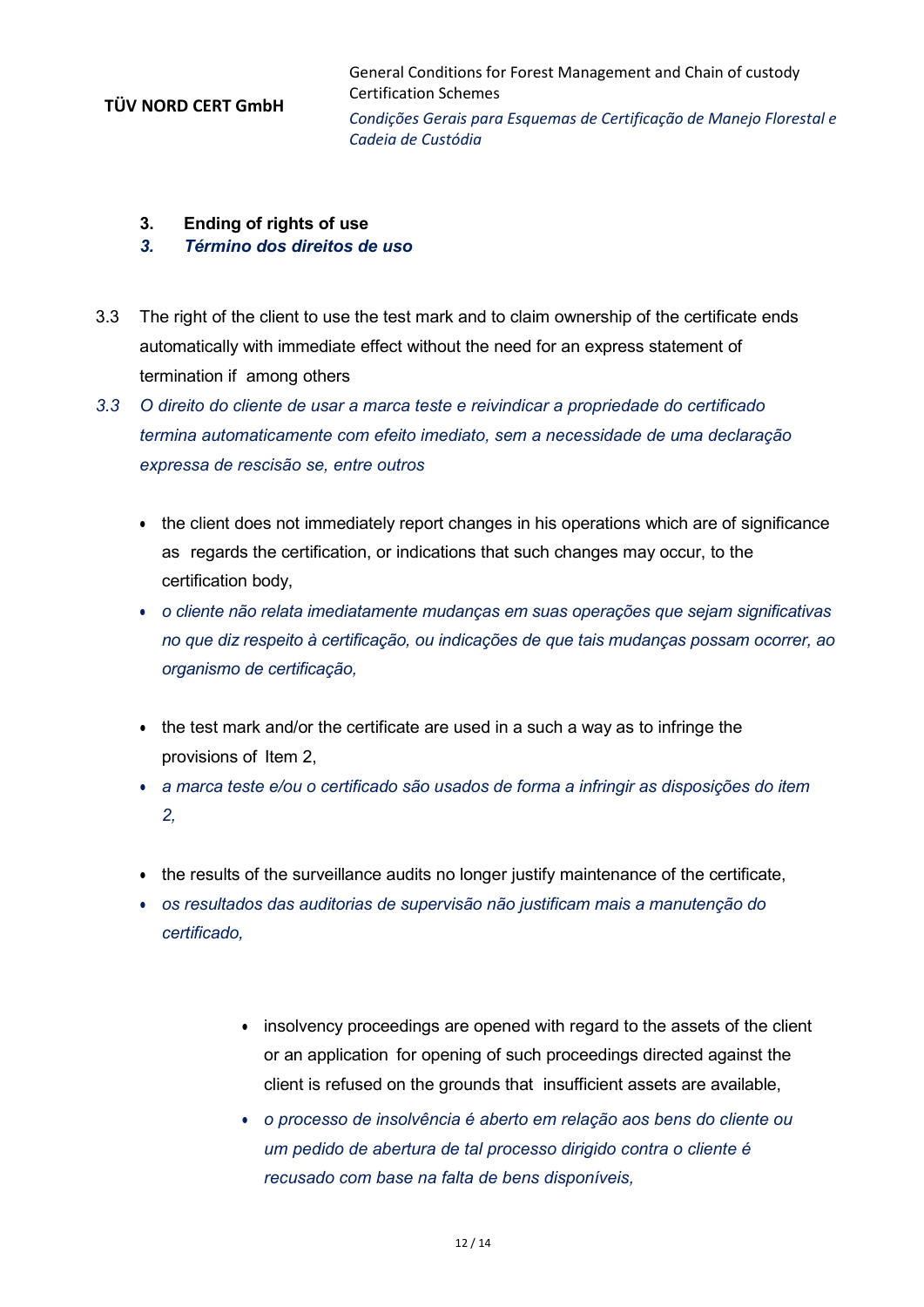- **3. Ending of rights of use**
- *3. Término dos direitos de uso*
- 3.3 The right of the client to use the test mark and to claim ownership of the certificate ends automatically with immediate effect without the need for an express statement of termination if among others
- *3.3 O direito do cliente de usar a marca teste e reivindicar a propriedade do certificado termina automaticamente com efeito imediato, sem a necessidade de uma declaração expressa de rescisão se, entre outros*
	- the client does not immediately report changes in his operations which are of significance as regards the certification, or indications that such changes may occur, to the certification body,
	- *o cliente não relata imediatamente mudanças em suas operações que sejam significativas no que diz respeito à certificação, ou indicações de que tais mudanças possam ocorrer, ao organismo de certificação,*
	- the test mark and/or the certificate are used in a such a way as to infringe the provisions of Item 2,
	- *a marca teste e/ou o certificado são usados de forma a infringir as disposições do item 2,*
	- the results of the surveillance audits no longer justify maintenance of the certificate,
	- *os resultados das auditorias de supervisão não justificam mais a manutenção do certificado,*
		- insolvency proceedings are opened with regard to the assets of the client or an application for opening of such proceedings directed against the client is refused on the grounds that insufficient assets are available,
		- *o processo de insolvência é aberto em relação aos bens do cliente ou um pedido de abertura de tal processo dirigido contra o cliente é recusado com base na falta de bens disponíveis,*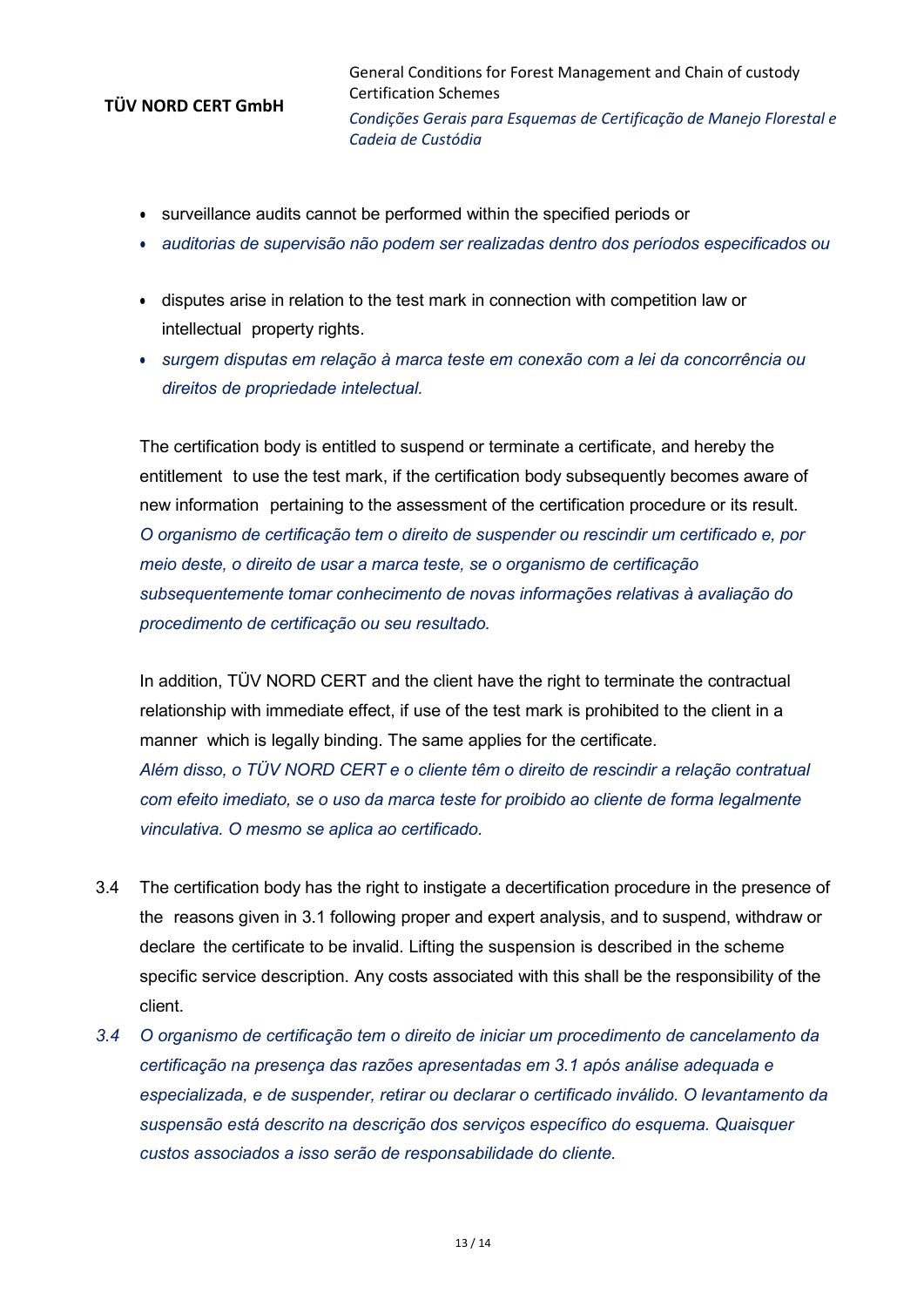General Conditions for Forest Management and Chain of custody Certification Schemes *Condições Gerais para Esquemas de Certificação de Manejo Florestal e Cadeia de Custódia*

- surveillance audits cannot be performed within the specified periods or
- *auditorias de supervisão não podem ser realizadas dentro dos períodos especificados ou*
- disputes arise in relation to the test mark in connection with competition law or intellectual property rights.
- *surgem disputas em relação à marca teste em conexão com a lei da concorrência ou direitos de propriedade intelectual.*

The certification body is entitled to suspend or terminate a certificate, and hereby the entitlement to use the test mark, if the certification body subsequently becomes aware of new information pertaining to the assessment of the certification procedure or its result. *O organismo de certificação tem o direito de suspender ou rescindir um certificado e, por meio deste, o direito de usar a marca teste, se o organismo de certificação subsequentemente tomar conhecimento de novas informações relativas à avaliação do procedimento de certificação ou seu resultado.*

In addition, TÜV NORD CERT and the client have the right to terminate the contractual relationship with immediate effect, if use of the test mark is prohibited to the client in a manner which is legally binding. The same applies for the certificate. *Além disso, o TÜV NORD CERT e o cliente têm o direito de rescindir a relação contratual com efeito imediato, se o uso da marca teste for proibido ao cliente de forma legalmente vinculativa. O mesmo se aplica ao certificado.*

- 3.4 The certification body has the right to instigate a decertification procedure in the presence of the reasons given in 3.1 following proper and expert analysis, and to suspend, withdraw or declare the certificate to be invalid. Lifting the suspension is described in the scheme specific service description. Any costs associated with this shall be the responsibility of the client.
- *3.4 O organismo de certificação tem o direito de iniciar um procedimento de cancelamento da certificação na presença das razões apresentadas em 3.1 após análise adequada e especializada, e de suspender, retirar ou declarar o certificado inválido. O levantamento da suspensão está descrito na descrição dos serviços específico do esquema. Quaisquer custos associados a isso serão de responsabilidade do cliente.*